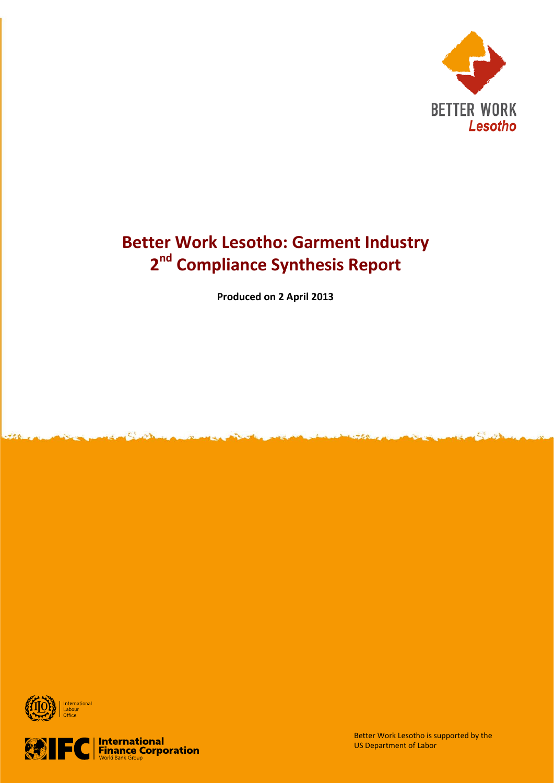

# **Better Work Lesotho: Garment Industry 2nd Compliance Synthesis Report**

**Produced on 2 April 2013**





Better Work Lesotho is supported by the US Department of Labor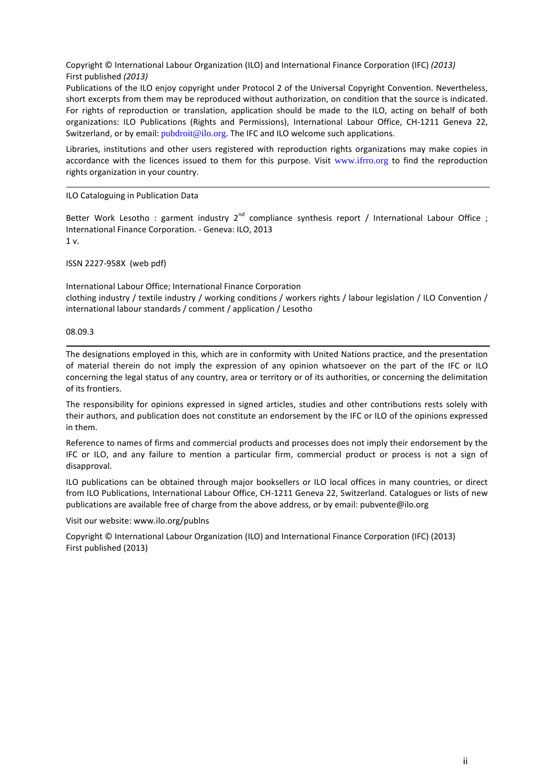Copyright © International Labour Organization (ILO) and International Finance Corporation (IFC) *(2013)* First published *(2013)*

Publications of the ILO enjoy copyright under Protocol 2 of the Universal Copyright Convention. Nevertheless, short excerpts from them may be reproduced without authorization, on condition that the source is indicated. For rights of reproduction or translation, application should be made to the ILO, acting on behalf of both organizations: ILO Publications (Rights and Permissions), International Labour Office, CH-1211 Geneva 22, Switzerland, or by email: [pubdroit@ilo.org](mailto:pubdroit@ilo.org). The IFC and ILO welcome such applications.

Libraries, institutions and other users registered with reproduction rights organizations may make copies in accordance with the licences issued to them for this purpose. Visit [www.ifrro.org](http://www.ifrro.org/) to find the reproduction rights organization in your country.

#### ILO Cataloguing in Publication Data

Better Work Lesotho : garment industry  $2^{nd}$  compliance synthesis report / International Labour Office ; International Finance Corporation. - Geneva: ILO, 2013 1 v.

ISSN 2227-958X (web pdf)

International Labour Office; International Finance Corporation clothing industry / textile industry / working conditions / workers rights / labour legislation / ILO Convention / international labour standards / comment / application / Lesotho

08.09.3

The designations employed in this, which are in conformity with United Nations practice, and the presentation of material therein do not imply the expression of any opinion whatsoever on the part of the IFC or ILO concerning the legal status of any country, area or territory or of its authorities, or concerning the delimitation of its frontiers.

The responsibility for opinions expressed in signed articles, studies and other contributions rests solely with their authors, and publication does not constitute an endorsement by the IFC or ILO of the opinions expressed in them.

Reference to names of firms and commercial products and processes does not imply their endorsement by the IFC or ILO, and any failure to mention a particular firm, commercial product or process is not a sign of disapproval.

ILO publications can be obtained through major booksellers or ILO local offices in many countries, or direct from ILO Publications, International Labour Office, CH-1211 Geneva 22, Switzerland. Catalogues or lists of new publications are available free of charge from the above address, or by email: pubvente@ilo.org

Visit our website: www.ilo.org/publns

Copyright © International Labour Organization (ILO) and International Finance Corporation (IFC) (2013) First published (2013)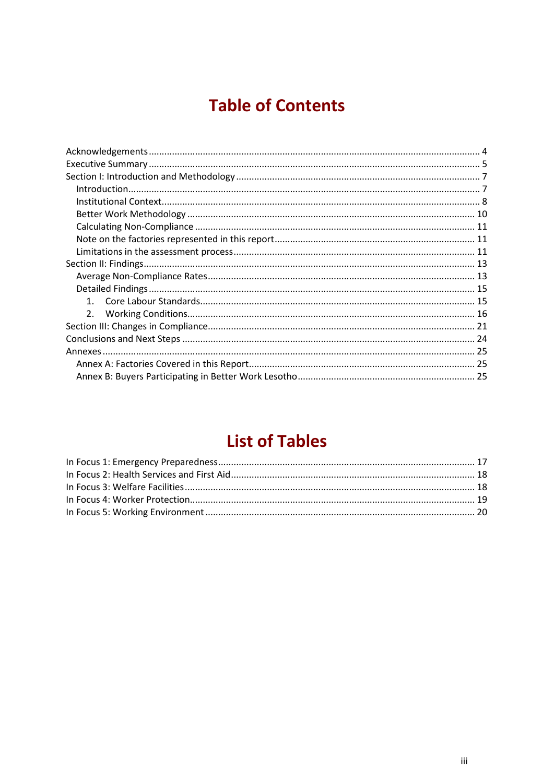# **Table of Contents**

# **List of Tables**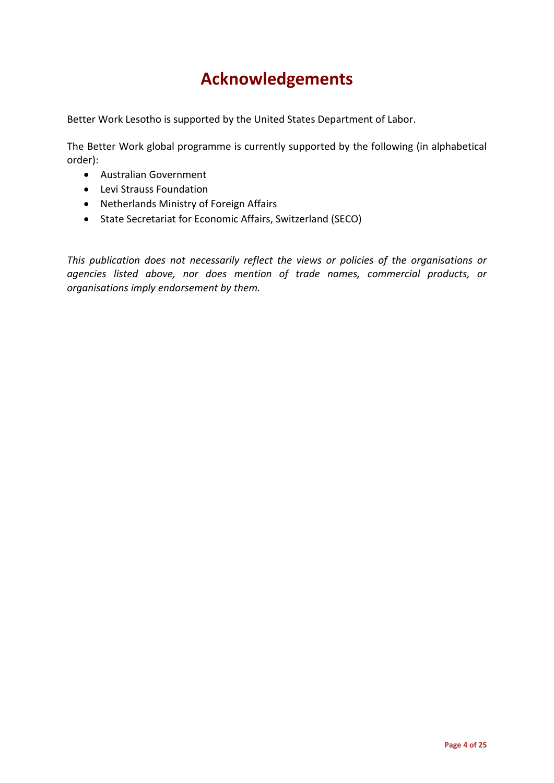# **Acknowledgements**

Better Work Lesotho is supported by the United States Department of Labor.

The Better Work global programme is currently supported by the following (in alphabetical order):

- Australian Government
- Levi Strauss Foundation
- Netherlands Ministry of Foreign Affairs
- State Secretariat for Economic Affairs, Switzerland (SECO)

*This publication does not necessarily reflect the views or policies of the organisations or agencies listed above, nor does mention of trade names, commercial products, or organisations imply endorsement by them.*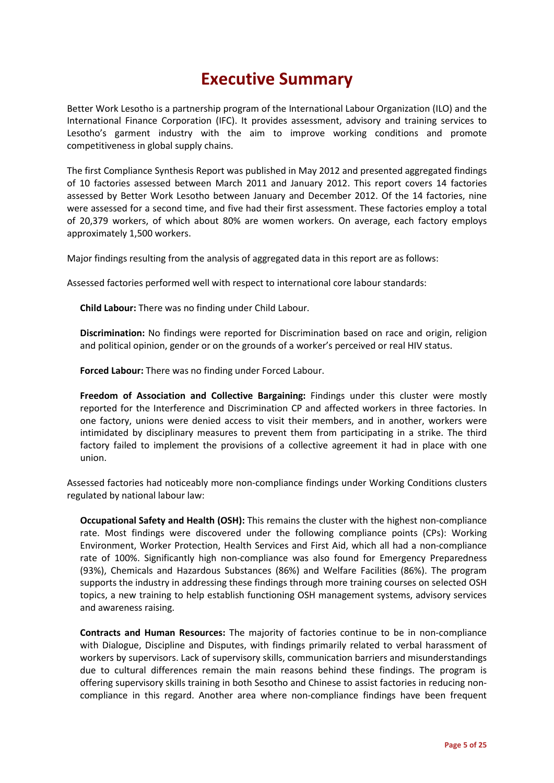# **Executive Summary**

Better Work Lesotho is a partnership program of the International Labour Organization (ILO) and the International Finance Corporation (IFC). It provides assessment, advisory and training services to Lesotho's garment industry with the aim to improve working conditions and promote competitiveness in global supply chains.

The first Compliance Synthesis Report was published in May 2012 and presented aggregated findings of 10 factories assessed between March 2011 and January 2012. This report covers 14 factories assessed by Better Work Lesotho between January and December 2012. Of the 14 factories, nine were assessed for a second time, and five had their first assessment. These factories employ a total of 20,379 workers, of which about 80% are women workers. On average, each factory employs approximately 1,500 workers.

Major findings resulting from the analysis of aggregated data in this report are as follows:

Assessed factories performed well with respect to international core labour standards:

**Child Labour:** There was no finding under Child Labour.

**Discrimination:** No findings were reported for Discrimination based on race and origin, religion and political opinion, gender or on the grounds of a worker's perceived or real HIV status.

**Forced Labour:** There was no finding under Forced Labour.

**Freedom of Association and Collective Bargaining:** Findings under this cluster were mostly reported for the Interference and Discrimination CP and affected workers in three factories. In one factory, unions were denied access to visit their members, and in another, workers were intimidated by disciplinary measures to prevent them from participating in a strike. The third factory failed to implement the provisions of a collective agreement it had in place with one union.

Assessed factories had noticeably more non-compliance findings under Working Conditions clusters regulated by national labour law:

**Occupational Safety and Health (OSH):** This remains the cluster with the highest non-compliance rate. Most findings were discovered under the following compliance points (CPs): Working Environment, Worker Protection, Health Services and First Aid, which all had a non-compliance rate of 100%. Significantly high non-compliance was also found for Emergency Preparedness (93%), Chemicals and Hazardous Substances (86%) and Welfare Facilities (86%). The program supports the industry in addressing these findings through more training courses on selected OSH topics, a new training to help establish functioning OSH management systems, advisory services and awareness raising.

**Contracts and Human Resources:** The majority of factories continue to be in non-compliance with Dialogue, Discipline and Disputes, with findings primarily related to verbal harassment of workers by supervisors. Lack of supervisory skills, communication barriers and misunderstandings due to cultural differences remain the main reasons behind these findings. The program is offering supervisory skills training in both Sesotho and Chinese to assist factories in reducing noncompliance in this regard. Another area where non-compliance findings have been frequent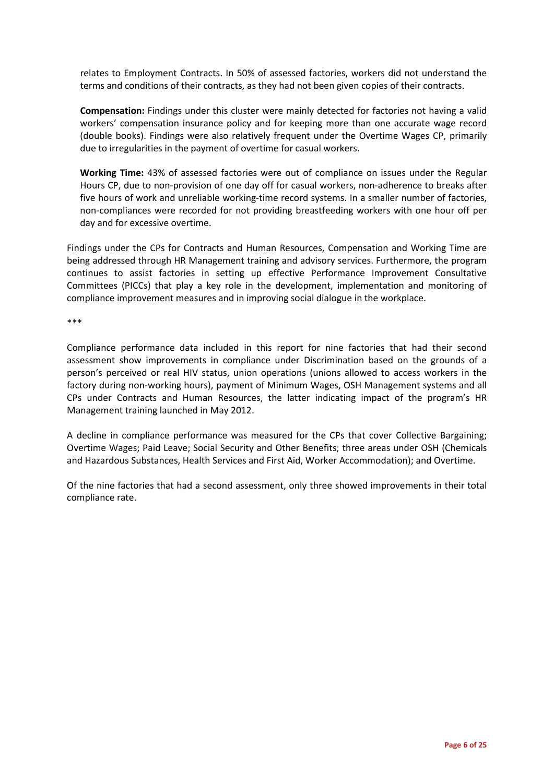relates to Employment Contracts. In 50% of assessed factories, workers did not understand the terms and conditions of their contracts, as they had not been given copies of their contracts.

**Compensation:** Findings under this cluster were mainly detected for factories not having a valid workers' compensation insurance policy and for keeping more than one accurate wage record (double books). Findings were also relatively frequent under the Overtime Wages CP, primarily due to irregularities in the payment of overtime for casual workers.

**Working Time:** 43% of assessed factories were out of compliance on issues under the Regular Hours CP, due to non-provision of one day off for casual workers, non-adherence to breaks after five hours of work and unreliable working-time record systems. In a smaller number of factories, non-compliances were recorded for not providing breastfeeding workers with one hour off per day and for excessive overtime.

Findings under the CPs for Contracts and Human Resources, Compensation and Working Time are being addressed through HR Management training and advisory services. Furthermore, the program continues to assist factories in setting up effective Performance Improvement Consultative Committees (PICCs) that play a key role in the development, implementation and monitoring of compliance improvement measures and in improving social dialogue in the workplace.

\*\*\*

Compliance performance data included in this report for nine factories that had their second assessment show improvements in compliance under Discrimination based on the grounds of a person's perceived or real HIV status, union operations (unions allowed to access workers in the factory during non-working hours), payment of Minimum Wages, OSH Management systems and all CPs under Contracts and Human Resources, the latter indicating impact of the program's HR Management training launched in May 2012.

A decline in compliance performance was measured for the CPs that cover Collective Bargaining; Overtime Wages; Paid Leave; Social Security and Other Benefits; three areas under OSH (Chemicals and Hazardous Substances, Health Services and First Aid, Worker Accommodation); and Overtime.

Of the nine factories that had a second assessment, only three showed improvements in their total compliance rate.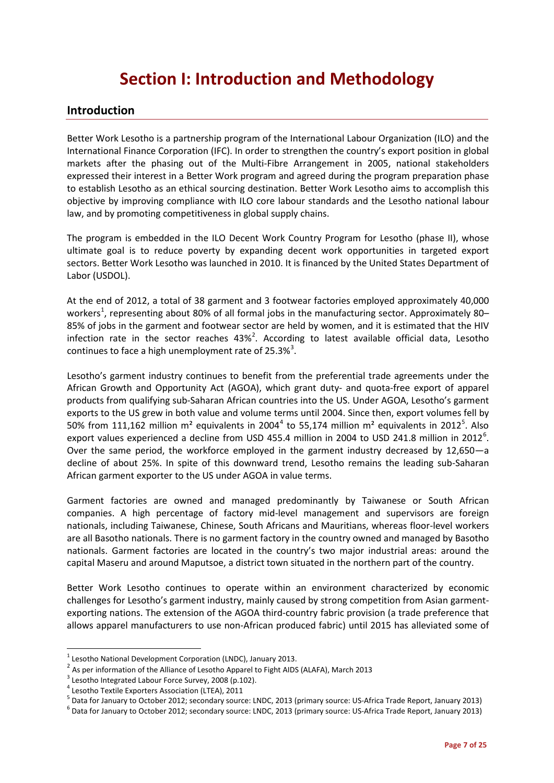# **Section I: Introduction and Methodology**

## **Introduction**

Better Work Lesotho is a partnership program of the International Labour Organization (ILO) and the International Finance Corporation (IFC). In order to strengthen the country's export position in global markets after the phasing out of the Multi-Fibre Arrangement in 2005, national stakeholders expressed their interest in a Better Work program and agreed during the program preparation phase to establish Lesotho as an ethical sourcing destination. Better Work Lesotho aims to accomplish this objective by improving compliance with ILO core labour standards and the Lesotho national labour law, and by promoting competitiveness in global supply chains.

The program is embedded in the ILO Decent Work Country Program for Lesotho (phase II), whose ultimate goal is to reduce poverty by expanding decent work opportunities in targeted export sectors. Better Work Lesotho was launched in 2010. It is financed by the United States Department of Labor (USDOL).

At the end of 2012, a total of 38 garment and 3 footwear factories employed approximately 40,000 workers<sup>[1](#page-6-0)</sup>, representing about 80% of all formal jobs in the manufacturing sector. Approximately 80– 85% of jobs in the garment and footwear sector are held by women, and it is estimated that the HIV infection rate in the sector reaches  $43\%$ <sup>[2](#page-6-1)</sup>. According to latest available official data, Lesotho continues to face a high unemployment rate of 25.[3](#page-6-2)%<sup>3</sup>.

Lesotho's garment industry continues to benefit from the preferential trade agreements under the African Growth and Opportunity Act (AGOA), which grant duty- and quota-free export of apparel products from qualifying sub-Saharan African countries into the US. Under AGOA, Lesotho's garment exports to the US grew in both value and volume terms until 2004. Since then, export volumes fell by 50% from 111,162 million m<sup>2</sup> equivalents in 200[4](#page-6-3)<sup>4</sup> to [5](#page-6-4)5,174 million m<sup>2</sup> equivalents in 2012<sup>5</sup>. Also export values experienced a decline from USD 455.4 million in 2004 to USD 241.8 million in 2012<sup>[6](#page-6-5)</sup>. Over the same period, the workforce employed in the garment industry decreased by 12,650—a decline of about 25%. In spite of this downward trend, Lesotho remains the leading sub-Saharan African garment exporter to the US under AGOA in value terms.

Garment factories are owned and managed predominantly by Taiwanese or South African companies. A high percentage of factory mid-level management and supervisors are foreign nationals, including Taiwanese, Chinese, South Africans and Mauritians, whereas floor-level workers are all Basotho nationals. There is no garment factory in the country owned and managed by Basotho nationals. Garment factories are located in the country's two major industrial areas: around the capital Maseru and around Maputsoe, a district town situated in the northern part of the country.

Better Work Lesotho continues to operate within an environment characterized by economic challenges for Lesotho's garment industry, mainly caused by strong competition from Asian garmentexporting nations. The extension of the AGOA third-country fabric provision (a trade preference that allows apparel manufacturers to use non-African produced fabric) until 2015 has alleviated some of

<span id="page-6-1"></span><span id="page-6-0"></span><sup>&</sup>lt;sup>1</sup> Lesotho National Development Corporation (LNDC), January 2013.<br>
<sup>2</sup> As per information of the Alliance of Lesotho Apparel to Fight AIDS (ALAFA), March 2013<br>
<sup>3</sup> Lesotho Integrated Labour Force Survey, 2008 (p.102).<br>
<sup></sup>

<span id="page-6-2"></span>

<span id="page-6-3"></span>

<span id="page-6-4"></span><sup>&</sup>lt;sup>5</sup> Data for January to October 2012; secondary source: LNDC, 2013 (primary source: US-Africa Trade Report, January 2013)<br><sup>6</sup> Data for January to October 2012; secondary source: LNDC, 2013 (primary source: US-Africa Trade

<span id="page-6-5"></span>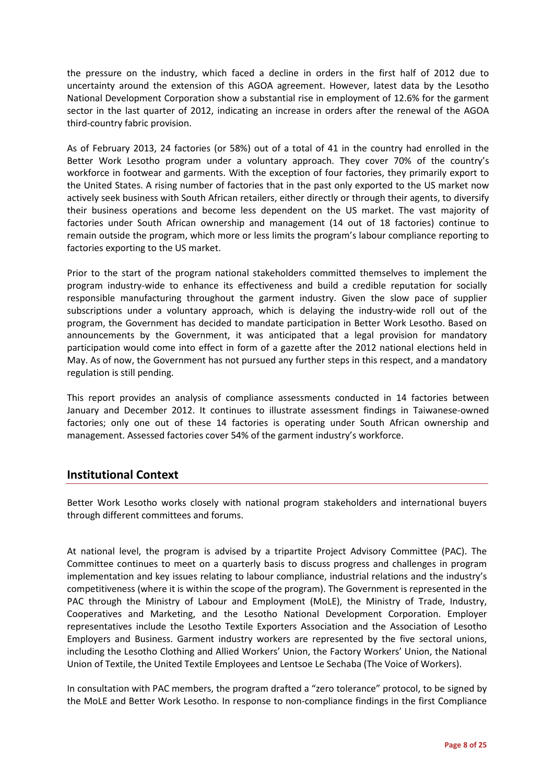the pressure on the industry, which faced a decline in orders in the first half of 2012 due to uncertainty around the extension of this AGOA agreement. However, latest data by the Lesotho National Development Corporation show a substantial rise in employment of 12.6% for the garment sector in the last quarter of 2012, indicating an increase in orders after the renewal of the AGOA third-country fabric provision.

As of February 2013, 24 factories (or 58%) out of a total of 41 in the country had enrolled in the Better Work Lesotho program under a voluntary approach. They cover 70% of the country's workforce in footwear and garments. With the exception of four factories, they primarily export to the United States. A rising number of factories that in the past only exported to the US market now actively seek business with South African retailers, either directly or through their agents, to diversify their business operations and become less dependent on the US market. The vast majority of factories under South African ownership and management (14 out of 18 factories) continue to remain outside the program, which more or less limits the program's labour compliance reporting to factories exporting to the US market.

Prior to the start of the program national stakeholders committed themselves to implement the program industry-wide to enhance its effectiveness and build a credible reputation for socially responsible manufacturing throughout the garment industry. Given the slow pace of supplier subscriptions under a voluntary approach, which is delaying the industry-wide roll out of the program, the Government has decided to mandate participation in Better Work Lesotho. Based on announcements by the Government, it was anticipated that a legal provision for mandatory participation would come into effect in form of a gazette after the 2012 national elections held in May. As of now, the Government has not pursued any further steps in this respect, and a mandatory regulation is still pending.

This report provides an analysis of compliance assessments conducted in 14 factories between January and December 2012. It continues to illustrate assessment findings in Taiwanese-owned factories; only one out of these 14 factories is operating under South African ownership and management. Assessed factories cover 54% of the garment industry's workforce.

## **Institutional Context**

Better Work Lesotho works closely with national program stakeholders and international buyers through different committees and forums.

At national level, the program is advised by a tripartite Project Advisory Committee (PAC). The Committee continues to meet on a quarterly basis to discuss progress and challenges in program implementation and key issues relating to labour compliance, industrial relations and the industry's competitiveness (where it is within the scope of the program). The Government is represented in the PAC through the Ministry of Labour and Employment (MoLE), the Ministry of Trade, Industry, Cooperatives and Marketing, and the Lesotho National Development Corporation. Employer representatives include the Lesotho Textile Exporters Association and the Association of Lesotho Employers and Business. Garment industry workers are represented by the five sectoral unions, including the Lesotho Clothing and Allied Workers' Union, the Factory Workers' Union, the National Union of Textile, the United Textile Employees and Lentsoe Le Sechaba (The Voice of Workers).

In consultation with PAC members, the program drafted a "zero tolerance" protocol, to be signed by the MoLE and Better Work Lesotho. In response to non-compliance findings in the first Compliance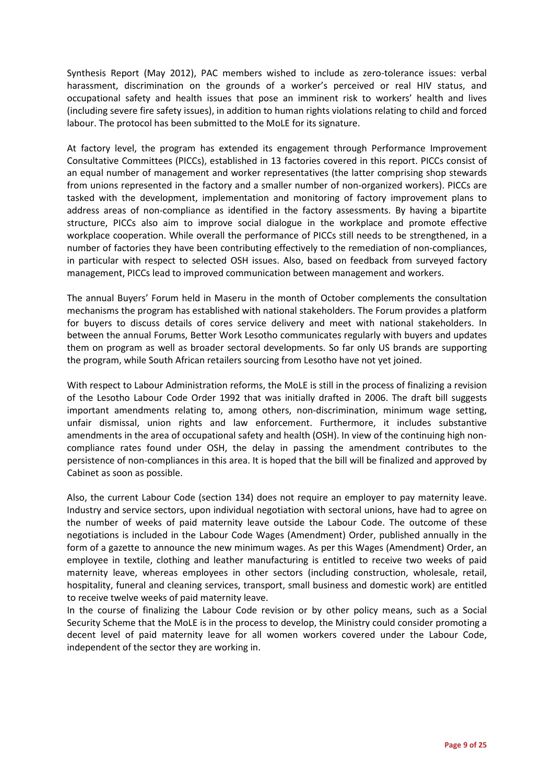Synthesis Report (May 2012), PAC members wished to include as zero-tolerance issues: verbal harassment, discrimination on the grounds of a worker's perceived or real HIV status, and occupational safety and health issues that pose an imminent risk to workers' health and lives (including severe fire safety issues), in addition to human rights violations relating to child and forced labour. The protocol has been submitted to the MoLE for its signature.

At factory level, the program has extended its engagement through Performance Improvement Consultative Committees (PICCs), established in 13 factories covered in this report. PICCs consist of an equal number of management and worker representatives (the latter comprising shop stewards from unions represented in the factory and a smaller number of non-organized workers). PICCs are tasked with the development, implementation and monitoring of factory improvement plans to address areas of non-compliance as identified in the factory assessments. By having a bipartite structure, PICCs also aim to improve social dialogue in the workplace and promote effective workplace cooperation. While overall the performance of PICCs still needs to be strengthened, in a number of factories they have been contributing effectively to the remediation of non-compliances, in particular with respect to selected OSH issues. Also, based on feedback from surveyed factory management, PICCs lead to improved communication between management and workers.

The annual Buyers' Forum held in Maseru in the month of October complements the consultation mechanisms the program has established with national stakeholders. The Forum provides a platform for buyers to discuss details of cores service delivery and meet with national stakeholders. In between the annual Forums, Better Work Lesotho communicates regularly with buyers and updates them on program as well as broader sectoral developments. So far only US brands are supporting the program, while South African retailers sourcing from Lesotho have not yet joined.

With respect to Labour Administration reforms, the MoLE is still in the process of finalizing a revision of the Lesotho Labour Code Order 1992 that was initially drafted in 2006. The draft bill suggests important amendments relating to, among others, non-discrimination, minimum wage setting, unfair dismissal, union rights and law enforcement. Furthermore, it includes substantive amendments in the area of occupational safety and health (OSH). In view of the continuing high noncompliance rates found under OSH, the delay in passing the amendment contributes to the persistence of non-compliances in this area. It is hoped that the bill will be finalized and approved by Cabinet as soon as possible.

Also, the current Labour Code (section 134) does not require an employer to pay maternity leave. Industry and service sectors, upon individual negotiation with sectoral unions, have had to agree on the number of weeks of paid maternity leave outside the Labour Code. The outcome of these negotiations is included in the Labour Code Wages (Amendment) Order, published annually in the form of a gazette to announce the new minimum wages. As per this Wages (Amendment) Order, an employee in textile, clothing and leather manufacturing is entitled to receive two weeks of paid maternity leave, whereas employees in other sectors (including construction, wholesale, retail, hospitality, funeral and cleaning services, transport, small business and domestic work) are entitled to receive twelve weeks of paid maternity leave.

In the course of finalizing the Labour Code revision or by other policy means, such as a Social Security Scheme that the MoLE is in the process to develop, the Ministry could consider promoting a decent level of paid maternity leave for all women workers covered under the Labour Code, independent of the sector they are working in.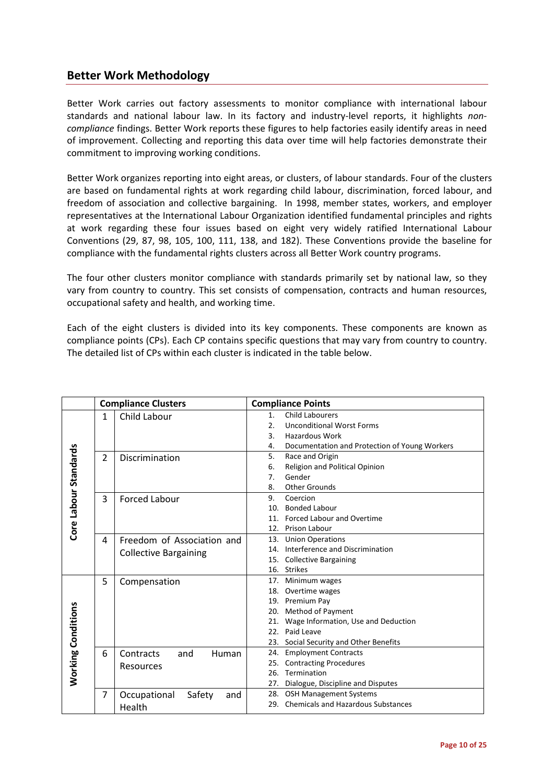## **Better Work Methodology**

Better Work carries out factory assessments to monitor compliance with international labour standards and national labour law. In its factory and industry-level reports, it highlights *noncompliance* findings. Better Work reports these figures to help factories easily identify areas in need of improvement. Collecting and reporting this data over time will help factories demonstrate their commitment to improving working conditions.

Better Work organizes reporting into eight areas, or clusters, of labour standards. Four of the clusters are based on fundamental rights at work regarding child labour, discrimination, forced labour, and freedom of association and collective bargaining. In 1998, member states, workers, and employer representatives at the International Labour Organization identified fundamental principles and rights at work regarding these four issues based on eight very widely ratified International Labour Conventions (29, 87, 98, 105, 100, 111, 138, and 182). These Conventions provide the baseline for compliance with the fundamental rights clusters across all Better Work country programs.

The four other clusters monitor compliance with standards primarily set by national law, so they vary from country to country. This set consists of compensation, contracts and human resources, occupational safety and health, and working time.

Each of the eight clusters is divided into its key components. These components are known as compliance points (CPs). Each CP contains specific questions that may vary from country to country. The detailed list of CPs within each cluster is indicated in the table below.

|                           | <b>Compliance Clusters</b> |                                  |                  | <b>Compliance Points</b>                      |  |  |  |
|---------------------------|----------------------------|----------------------------------|------------------|-----------------------------------------------|--|--|--|
|                           | $\mathbf{1}$               | Child Labour                     | 1.               | <b>Child Labourers</b>                        |  |  |  |
|                           |                            |                                  | $\overline{2}$ . | <b>Unconditional Worst Forms</b>              |  |  |  |
|                           |                            |                                  | 3.               | <b>Hazardous Work</b>                         |  |  |  |
|                           |                            |                                  | 4.               | Documentation and Protection of Young Workers |  |  |  |
| Core Labour Standards     | $\overline{2}$             | Discrimination                   | 5.               | Race and Origin                               |  |  |  |
|                           |                            |                                  | 6.               | Religion and Political Opinion                |  |  |  |
|                           |                            |                                  | 7.               | Gender                                        |  |  |  |
|                           |                            |                                  | 8.               | <b>Other Grounds</b>                          |  |  |  |
|                           | 3                          | <b>Forced Labour</b>             | 9.               | Coercion                                      |  |  |  |
|                           |                            |                                  | 10.              | <b>Bonded Labour</b>                          |  |  |  |
|                           |                            |                                  |                  | 11. Forced Labour and Overtime                |  |  |  |
|                           |                            |                                  | 12.              | Prison Labour                                 |  |  |  |
|                           | 4                          | Freedom of Association and       |                  | 13. Union Operations                          |  |  |  |
|                           |                            | <b>Collective Bargaining</b>     |                  | 14. Interference and Discrimination           |  |  |  |
|                           |                            |                                  | 15.              | <b>Collective Bargaining</b>                  |  |  |  |
|                           |                            |                                  |                  | 16. Strikes                                   |  |  |  |
|                           | 5                          | Compensation                     |                  | 17. Minimum wages                             |  |  |  |
|                           |                            |                                  |                  | 18. Overtime wages                            |  |  |  |
|                           |                            |                                  |                  | 19. Premium Pay                               |  |  |  |
|                           |                            |                                  |                  | 20. Method of Payment                         |  |  |  |
|                           |                            |                                  |                  | 21. Wage Information, Use and Deduction       |  |  |  |
|                           |                            |                                  | 22.              | Paid Leave                                    |  |  |  |
|                           |                            |                                  |                  | 23. Social Security and Other Benefits        |  |  |  |
|                           | 6                          | Contracts<br><b>Human</b><br>and |                  | 24. Employment Contracts                      |  |  |  |
|                           |                            | Resources                        |                  | 25. Contracting Procedures                    |  |  |  |
| <b>Working Conditions</b> |                            |                                  | 26.              | Termination                                   |  |  |  |
|                           |                            |                                  | 27.              | Dialogue, Discipline and Disputes             |  |  |  |
|                           | 7                          | Occupational<br>Safety<br>and    |                  | 28. OSH Management Systems                    |  |  |  |
|                           |                            | Health                           |                  | 29. Chemicals and Hazardous Substances        |  |  |  |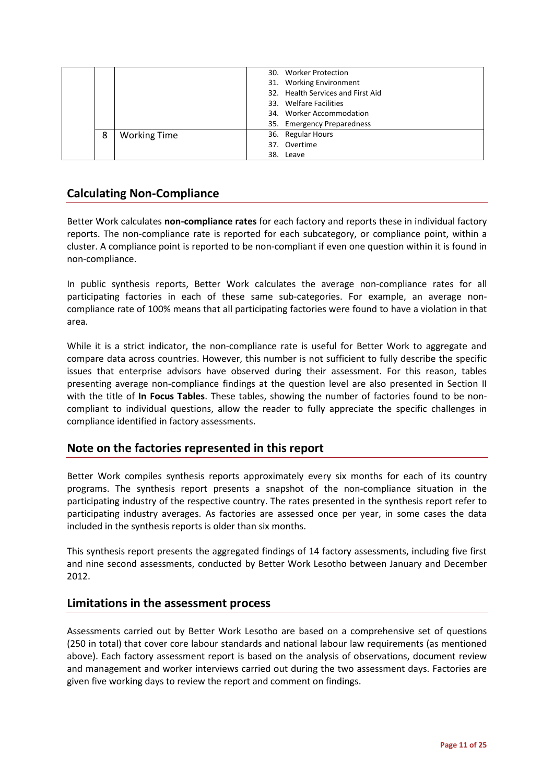|   |                     | 30. Worker Protection             |
|---|---------------------|-----------------------------------|
|   |                     | 31. Working Environment           |
|   |                     | 32. Health Services and First Aid |
|   |                     | 33. Welfare Facilities            |
|   |                     | 34. Worker Accommodation          |
|   |                     | 35. Emergency Preparedness        |
| 8 | <b>Working Time</b> | 36. Regular Hours                 |
|   |                     | 37. Overtime                      |
|   |                     | 38. Leave                         |

# **Calculating Non-Compliance**

Better Work calculates **non-compliance rates** for each factory and reports these in individual factory reports. The non-compliance rate is reported for each subcategory, or compliance point, within a cluster. A compliance point is reported to be non-compliant if even one question within it is found in non-compliance.

In public synthesis reports, Better Work calculates the average non-compliance rates for all participating factories in each of these same sub-categories. For example, an average noncompliance rate of 100% means that all participating factories were found to have a violation in that area.

While it is a strict indicator, the non-compliance rate is useful for Better Work to aggregate and compare data across countries. However, this number is not sufficient to fully describe the specific issues that enterprise advisors have observed during their assessment. For this reason, tables presenting average non-compliance findings at the question level are also presented in Section II with the title of **In Focus Tables**. These tables, showing the number of factories found to be noncompliant to individual questions, allow the reader to fully appreciate the specific challenges in compliance identified in factory assessments.

# **Note on the factories represented in this report**

Better Work compiles synthesis reports approximately every six months for each of its country programs. The synthesis report presents a snapshot of the non-compliance situation in the participating industry of the respective country. The rates presented in the synthesis report refer to participating industry averages. As factories are assessed once per year, in some cases the data included in the synthesis reports is older than six months.

This synthesis report presents the aggregated findings of 14 factory assessments, including five first and nine second assessments, conducted by Better Work Lesotho between January and December 2012.

## **Limitations in the assessment process**

Assessments carried out by Better Work Lesotho are based on a comprehensive set of questions (250 in total) that cover core labour standards and national labour law requirements (as mentioned above). Each factory assessment report is based on the analysis of observations, document review and management and worker interviews carried out during the two assessment days. Factories are given five working days to review the report and comment on findings.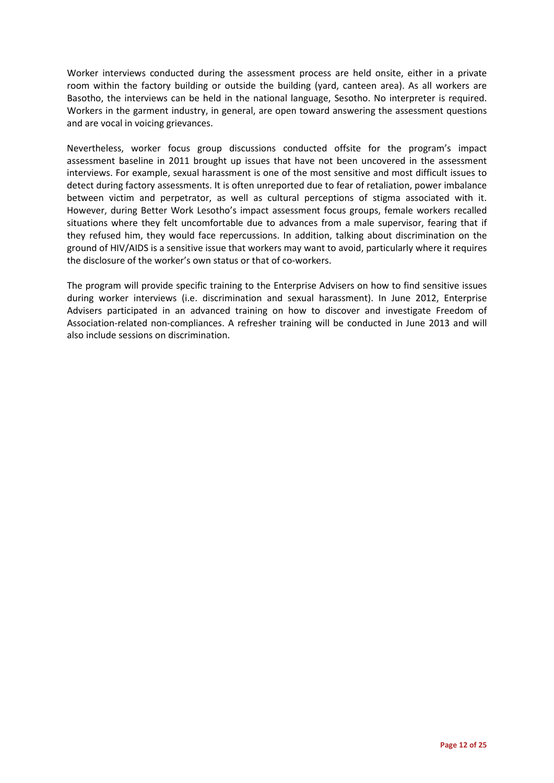Worker interviews conducted during the assessment process are held onsite, either in a private room within the factory building or outside the building (yard, canteen area). As all workers are Basotho, the interviews can be held in the national language, Sesotho. No interpreter is required. Workers in the garment industry, in general, are open toward answering the assessment questions and are vocal in voicing grievances.

Nevertheless, worker focus group discussions conducted offsite for the program's impact assessment baseline in 2011 brought up issues that have not been uncovered in the assessment interviews. For example, sexual harassment is one of the most sensitive and most difficult issues to detect during factory assessments. It is often unreported due to fear of retaliation, power imbalance between victim and perpetrator, as well as cultural perceptions of stigma associated with it. However, during Better Work Lesotho's impact assessment focus groups, female workers recalled situations where they felt uncomfortable due to advances from a male supervisor, fearing that if they refused him, they would face repercussions. In addition, talking about discrimination on the ground of HIV/AIDS is a sensitive issue that workers may want to avoid, particularly where it requires the disclosure of the worker's own status or that of co-workers.

The program will provide specific training to the Enterprise Advisers on how to find sensitive issues during worker interviews (i.e. discrimination and sexual harassment). In June 2012, Enterprise Advisers participated in an advanced training on how to discover and investigate Freedom of Association-related non-compliances. A refresher training will be conducted in June 2013 and will also include sessions on discrimination.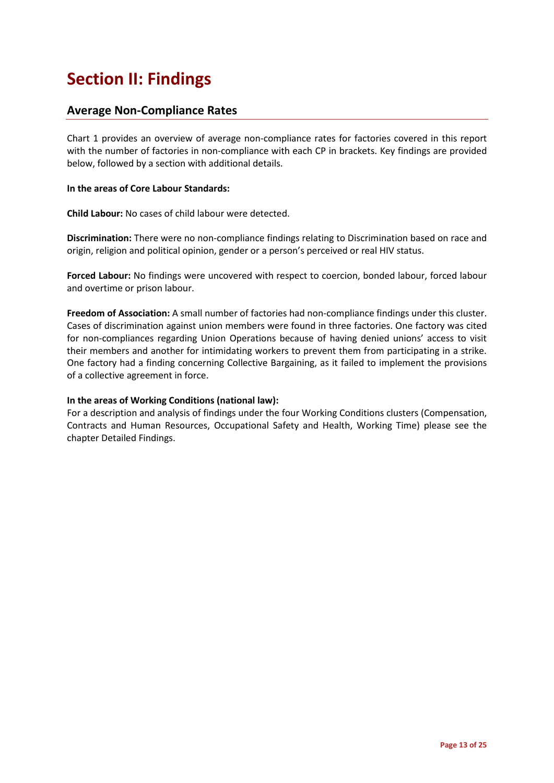# **Section II: Findings**

## **Average Non-Compliance Rates**

Chart 1 provides an overview of average non-compliance rates for factories covered in this report with the number of factories in non-compliance with each CP in brackets. Key findings are provided below, followed by a section with additional details.

### **In the areas of Core Labour Standards:**

**Child Labour:** No cases of child labour were detected.

**Discrimination:** There were no non-compliance findings relating to Discrimination based on race and origin, religion and political opinion, gender or a person's perceived or real HIV status.

**Forced Labour:** No findings were uncovered with respect to coercion, bonded labour, forced labour and overtime or prison labour.

**Freedom of Association:** A small number of factories had non-compliance findings under this cluster. Cases of discrimination against union members were found in three factories. One factory was cited for non-compliances regarding Union Operations because of having denied unions' access to visit their members and another for intimidating workers to prevent them from participating in a strike. One factory had a finding concerning Collective Bargaining, as it failed to implement the provisions of a collective agreement in force.

### **In the areas of Working Conditions (national law):**

For a description and analysis of findings under the four Working Conditions clusters (Compensation, Contracts and Human Resources, Occupational Safety and Health, Working Time) please see the chapter Detailed Findings.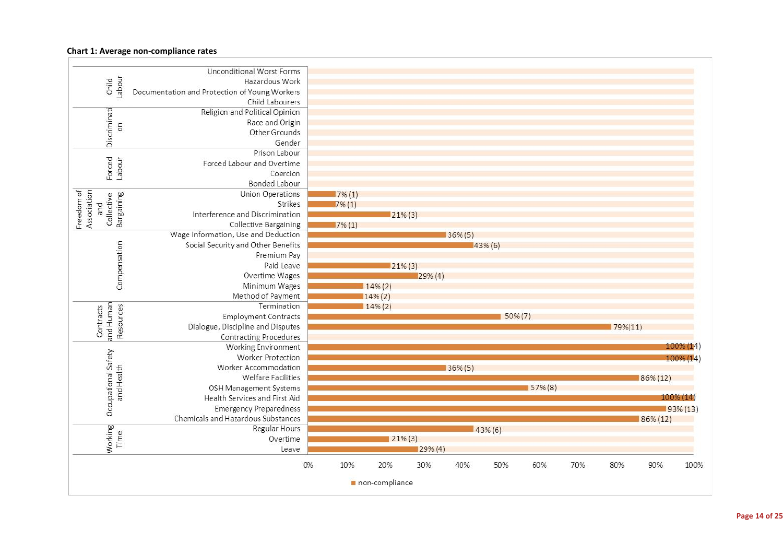### **Chart 1: Average non-compliance rates**

|                                   | Unconditional Worst Forms                     |           |                |            |            |            |            |     |            |          |             |
|-----------------------------------|-----------------------------------------------|-----------|----------------|------------|------------|------------|------------|-----|------------|----------|-------------|
| Labour<br>Child                   | Hazardous Work                                |           |                |            |            |            |            |     |            |          |             |
|                                   | Documentation and Protection of Young Workers |           |                |            |            |            |            |     |            |          |             |
|                                   | Child Labourers                               |           |                |            |            |            |            |     |            |          |             |
|                                   | Religion and Political Opinion                |           |                |            |            |            |            |     |            |          |             |
| 5                                 | Race and Origin                               |           |                |            |            |            |            |     |            |          |             |
| Discriminati                      | Other Grounds                                 |           |                |            |            |            |            |     |            |          |             |
|                                   | Gender                                        |           |                |            |            |            |            |     |            |          |             |
|                                   | Prison Labour                                 |           |                |            |            |            |            |     |            |          |             |
| Forced<br>Labour                  | Forced Labour and Overtime                    |           |                |            |            |            |            |     |            |          |             |
|                                   | Coercion                                      |           |                |            |            |            |            |     |            |          |             |
|                                   | Bonded Labour                                 |           |                |            |            |            |            |     |            |          |             |
|                                   | Union Operations                              | $7\%$ (1) |                |            |            |            |            |     |            |          |             |
| Bargaining<br>Collective          | Strikes                                       | $7\%$ (1) |                |            |            |            |            |     |            |          |             |
| pue                               | Interference and Discrimination               |           |                | $21\%$ (3) |            |            |            |     |            |          |             |
| Freedom of<br>Association         | <b>Collective Bargaining</b>                  | $7\%$ (1) |                |            |            |            |            |     |            |          |             |
|                                   | Wage Information, Use and Deduction           |           |                |            | $36\%$ (5) |            |            |     |            |          |             |
|                                   | Social Security and Other Benefits            |           |                |            |            | $43\%$ (6) |            |     |            |          |             |
|                                   | Premium Pay                                   |           |                |            |            |            |            |     |            |          |             |
|                                   | Paid Leave                                    |           |                | $21\%$ (3) |            |            |            |     |            |          |             |
|                                   | Overtime Wages                                |           |                | $29\%$ (4) |            |            |            |     |            |          |             |
| Compensation                      | Minimum Wages                                 |           | 14% (2)        |            |            |            |            |     |            |          |             |
|                                   | Method of Payment                             |           | 14% (2)        |            |            |            |            |     |            |          |             |
|                                   | Termination                                   |           | $14\%$ (2)     |            |            |            |            |     |            |          |             |
|                                   | <b>Employment Contracts</b>                   |           |                |            |            | $50\% (7)$ |            |     |            |          |             |
| Contracts                         | Dialogue, Discipline and Disputes             |           |                |            |            |            |            |     | $79\%(11)$ |          |             |
| and Human<br>Resources            | <b>Contracting Procedures</b>                 |           |                |            |            |            |            |     |            |          |             |
|                                   | Working Environment                           |           |                |            |            |            |            |     |            |          | 100% (14    |
|                                   | Worker Protection                             |           |                |            |            |            |            |     |            |          | 100% (14)   |
|                                   | Worker Accommodation                          |           |                |            | $36\%$ (5) |            |            |     |            |          |             |
|                                   | <b>Welfare Facilities</b>                     |           |                |            |            |            |            |     |            | 86% (12) |             |
| Occupational Safety<br>and Health | OSH Management Systems                        |           |                |            |            |            | $57\%$ (8) |     |            |          |             |
|                                   | Health Services and First Aid                 |           |                |            |            |            |            |     |            |          | 100% (14)   |
|                                   | <b>Emergency Preparedness</b>                 |           |                |            |            |            |            |     |            |          | $93\% (13)$ |
|                                   | Chemicals and Hazardous Substances            |           |                |            |            |            |            |     |            | 86% (12) |             |
|                                   | Regular Hours                                 |           |                |            |            | $43\%$ (6) |            |     |            |          |             |
| Time                              | Overtime                                      |           |                | $21\%$ (3) |            |            |            |     |            |          |             |
| Working                           | Leave                                         |           |                | 29% (4)    |            |            |            |     |            |          |             |
|                                   |                                               |           |                |            |            |            |            |     |            |          |             |
|                                   | 0%                                            | 10%       | 20%            | 30%        | 40%        | 50%        | 60%        | 70% | 80%        | 90%      | 100%        |
|                                   |                                               |           | non-compliance |            |            |            |            |     |            |          |             |
|                                   |                                               |           |                |            |            |            |            |     |            |          |             |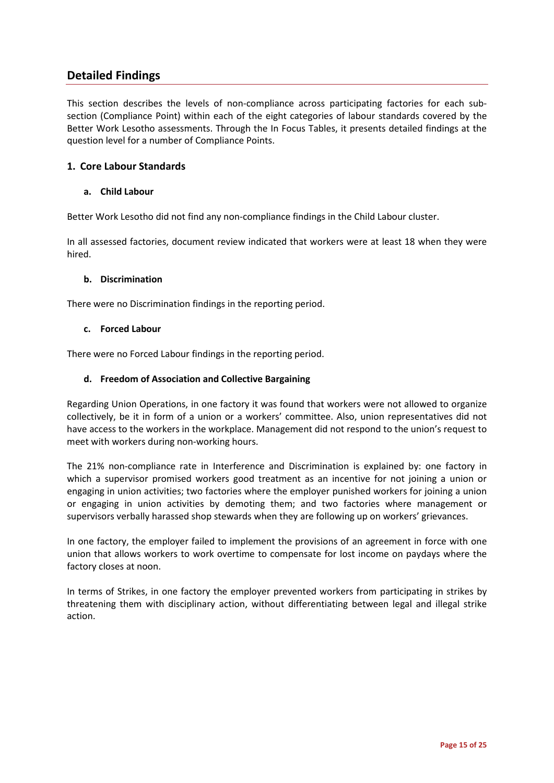# **Detailed Findings**

This section describes the levels of non-compliance across participating factories for each subsection (Compliance Point) within each of the eight categories of labour standards covered by the Better Work Lesotho assessments. Through the In Focus Tables, it presents detailed findings at the question level for a number of Compliance Points.

### **1. Core Labour Standards**

### **a. Child Labour**

Better Work Lesotho did not find any non-compliance findings in the Child Labour cluster.

In all assessed factories, document review indicated that workers were at least 18 when they were hired.

### **b. Discrimination**

There were no Discrimination findings in the reporting period.

### **c. Forced Labour**

There were no Forced Labour findings in the reporting period.

### **d. Freedom of Association and Collective Bargaining**

Regarding Union Operations, in one factory it was found that workers were not allowed to organize collectively, be it in form of a union or a workers' committee. Also, union representatives did not have access to the workers in the workplace. Management did not respond to the union's request to meet with workers during non-working hours.

The 21% non-compliance rate in Interference and Discrimination is explained by: one factory in which a supervisor promised workers good treatment as an incentive for not joining a union or engaging in union activities; two factories where the employer punished workers for joining a union or engaging in union activities by demoting them; and two factories where management or supervisors verbally harassed shop stewards when they are following up on workers' grievances.

In one factory, the employer failed to implement the provisions of an agreement in force with one union that allows workers to work overtime to compensate for lost income on paydays where the factory closes at noon.

In terms of Strikes, in one factory the employer prevented workers from participating in strikes by threatening them with disciplinary action, without differentiating between legal and illegal strike action.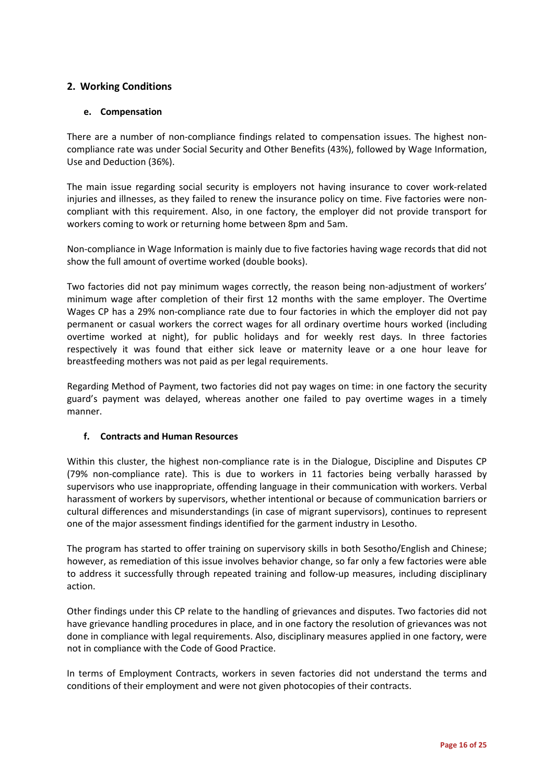## **2. Working Conditions**

### **e. Compensation**

There are a number of non-compliance findings related to compensation issues. The highest noncompliance rate was under Social Security and Other Benefits (43%), followed by Wage Information, Use and Deduction (36%).

The main issue regarding social security is employers not having insurance to cover work-related injuries and illnesses, as they failed to renew the insurance policy on time. Five factories were noncompliant with this requirement. Also, in one factory, the employer did not provide transport for workers coming to work or returning home between 8pm and 5am.

Non-compliance in Wage Information is mainly due to five factories having wage records that did not show the full amount of overtime worked (double books).

Two factories did not pay minimum wages correctly, the reason being non-adjustment of workers' minimum wage after completion of their first 12 months with the same employer. The Overtime Wages CP has a 29% non-compliance rate due to four factories in which the employer did not pay permanent or casual workers the correct wages for all ordinary overtime hours worked (including overtime worked at night), for public holidays and for weekly rest days. In three factories respectively it was found that either sick leave or maternity leave or a one hour leave for breastfeeding mothers was not paid as per legal requirements.

Regarding Method of Payment, two factories did not pay wages on time: in one factory the security guard's payment was delayed, whereas another one failed to pay overtime wages in a timely manner.

### **f. Contracts and Human Resources**

Within this cluster, the highest non-compliance rate is in the Dialogue, Discipline and Disputes CP (79% non-compliance rate). This is due to workers in 11 factories being verbally harassed by supervisors who use inappropriate, offending language in their communication with workers. Verbal harassment of workers by supervisors, whether intentional or because of communication barriers or cultural differences and misunderstandings (in case of migrant supervisors), continues to represent one of the major assessment findings identified for the garment industry in Lesotho.

The program has started to offer training on supervisory skills in both Sesotho/English and Chinese; however, as remediation of this issue involves behavior change, so far only a few factories were able to address it successfully through repeated training and follow-up measures, including disciplinary action.

Other findings under this CP relate to the handling of grievances and disputes. Two factories did not have grievance handling procedures in place, and in one factory the resolution of grievances was not done in compliance with legal requirements. Also, disciplinary measures applied in one factory, were not in compliance with the Code of Good Practice.

In terms of Employment Contracts, workers in seven factories did not understand the terms and conditions of their employment and were not given photocopies of their contracts.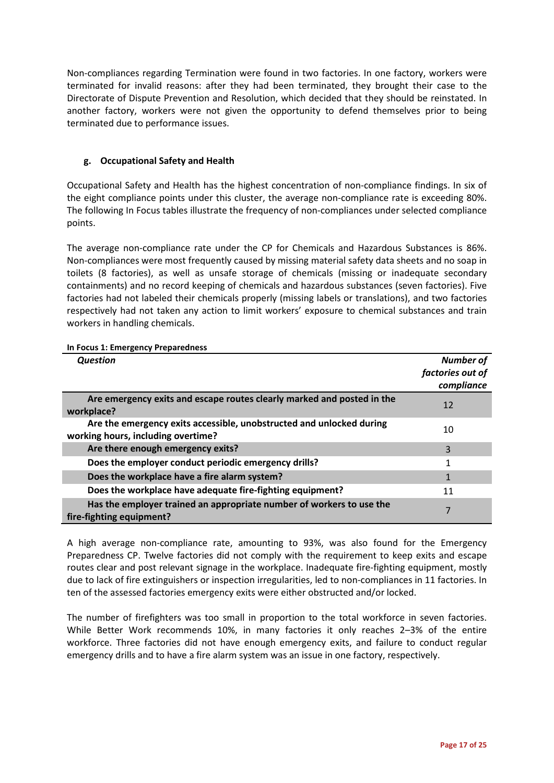Non-compliances regarding Termination were found in two factories. In one factory, workers were terminated for invalid reasons: after they had been terminated, they brought their case to the Directorate of Dispute Prevention and Resolution, which decided that they should be reinstated. In another factory, workers were not given the opportunity to defend themselves prior to being terminated due to performance issues.

### **g. Occupational Safety and Health**

Occupational Safety and Health has the highest concentration of non-compliance findings. In six of the eight compliance points under this cluster, the average non-compliance rate is exceeding 80%. The following In Focus tables illustrate the frequency of non-compliances under selected compliance points.

The average non-compliance rate under the CP for Chemicals and Hazardous Substances is 86%. Non-compliances were most frequently caused by missing material safety data sheets and no soap in toilets (8 factories), as well as unsafe storage of chemicals (missing or inadequate secondary containments) and no record keeping of chemicals and hazardous substances (seven factories). Five factories had not labeled their chemicals properly (missing labels or translations), and two factories respectively had not taken any action to limit workers' exposure to chemical substances and train workers in handling chemicals.

| <b>Question</b>                                                                                            | Number of<br>factories out of<br>compliance |
|------------------------------------------------------------------------------------------------------------|---------------------------------------------|
| Are emergency exits and escape routes clearly marked and posted in the<br>workplace?                       | 12                                          |
| Are the emergency exits accessible, unobstructed and unlocked during<br>working hours, including overtime? | 10                                          |
| Are there enough emergency exits?                                                                          | 3                                           |
| Does the employer conduct periodic emergency drills?                                                       |                                             |
| Does the workplace have a fire alarm system?                                                               | 1                                           |
| Does the workplace have adequate fire-fighting equipment?                                                  | 11                                          |
| Has the employer trained an appropriate number of workers to use the<br>fire-fighting equipment?           |                                             |

### <span id="page-16-0"></span>**In Focus 1: Emergency Preparedness**

A high average non-compliance rate, amounting to 93%, was also found for the Emergency Preparedness CP. Twelve factories did not comply with the requirement to keep exits and escape routes clear and post relevant signage in the workplace. Inadequate fire-fighting equipment, mostly due to lack of fire extinguishers or inspection irregularities, led to non-compliances in 11 factories. In ten of the assessed factories emergency exits were either obstructed and/or locked.

The number of firefighters was too small in proportion to the total workforce in seven factories. While Better Work recommends 10%, in many factories it only reaches 2–3% of the entire workforce. Three factories did not have enough emergency exits, and failure to conduct regular emergency drills and to have a fire alarm system was an issue in one factory, respectively.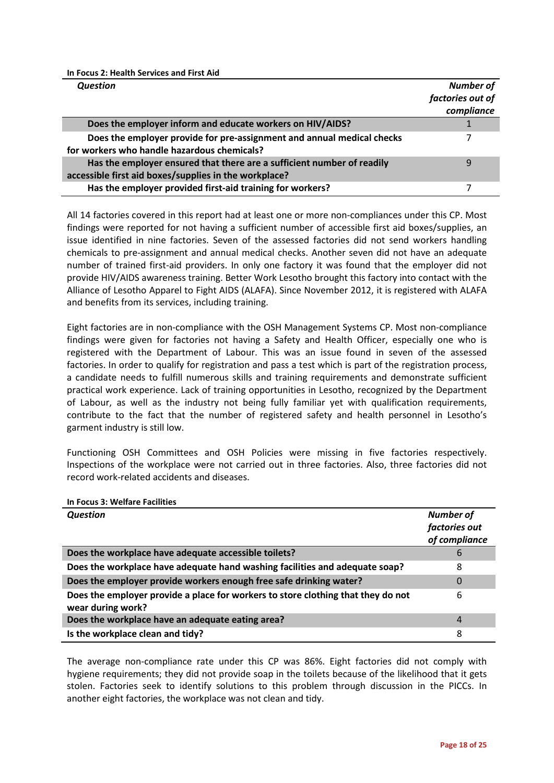<span id="page-17-0"></span>**In Focus 2: Health Services and First Aid**

| <b>Question</b>                                                                                                                 | <b>Number of</b> |
|---------------------------------------------------------------------------------------------------------------------------------|------------------|
|                                                                                                                                 | factories out of |
|                                                                                                                                 | compliance       |
| Does the employer inform and educate workers on HIV/AIDS?                                                                       |                  |
| Does the employer provide for pre-assignment and annual medical checks<br>for workers who handle hazardous chemicals?           |                  |
| Has the employer ensured that there are a sufficient number of readily<br>accessible first aid boxes/supplies in the workplace? | q                |
| Has the employer provided first-aid training for workers?                                                                       |                  |

All 14 factories covered in this report had at least one or more non-compliances under this CP. Most findings were reported for not having a sufficient number of accessible first aid boxes/supplies, an issue identified in nine factories. Seven of the assessed factories did not send workers handling chemicals to pre-assignment and annual medical checks. Another seven did not have an adequate number of trained first-aid providers. In only one factory it was found that the employer did not provide HIV/AIDS awareness training. Better Work Lesotho brought this factory into contact with the Alliance of Lesotho Apparel to Fight AIDS (ALAFA). Since November 2012, it is registered with ALAFA and benefits from its services, including training.

Eight factories are in non-compliance with the OSH Management Systems CP. Most non-compliance findings were given for factories not having a Safety and Health Officer, especially one who is registered with the Department of Labour. This was an issue found in seven of the assessed factories. In order to qualify for registration and pass a test which is part of the registration process, a candidate needs to fulfill numerous skills and training requirements and demonstrate sufficient practical work experience. Lack of training opportunities in Lesotho, recognized by the Department of Labour, as well as the industry not being fully familiar yet with qualification requirements, contribute to the fact that the number of registered safety and health personnel in Lesotho's garment industry is still low.

Functioning OSH Committees and OSH Policies were missing in five factories respectively. Inspections of the workplace were not carried out in three factories. Also, three factories did not record work-related accidents and diseases.

<span id="page-17-1"></span>**In Focus 3: Welfare Facilities** *Question Number of factories out of compliance* **Does the workplace have adequate accessible toilets? 6 6 Does the workplace have adequate hand washing facilities and adequate soap?** 8 **Does the employer provide workers enough free safe drinking water?** 0 **Does the employer provide a place for workers to store clothing that they do not wear during work?** 6 **Does the workplace have an adequate eating area?** 4 **Is the workplace clean and tidy?** 8

The average non-compliance rate under this CP was 86%. Eight factories did not comply with hygiene requirements; they did not provide soap in the toilets because of the likelihood that it gets stolen. Factories seek to identify solutions to this problem through discussion in the PICCs. In another eight factories, the workplace was not clean and tidy.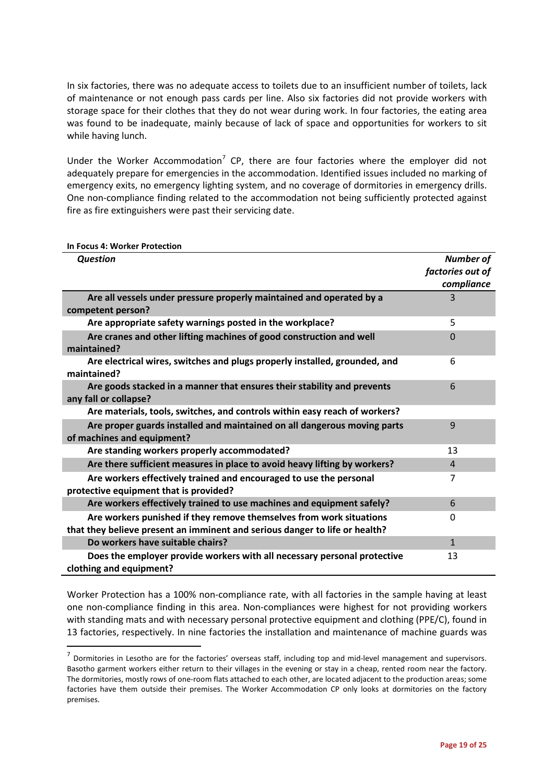In six factories, there was no adequate access to toilets due to an insufficient number of toilets, lack of maintenance or not enough pass cards per line. Also six factories did not provide workers with storage space for their clothes that they do not wear during work. In four factories, the eating area was found to be inadequate, mainly because of lack of space and opportunities for workers to sit while having lunch.

Under the Worker Accommodation<sup>[7](#page-18-1)</sup> CP, there are four factories where the employer did not adequately prepare for emergencies in the accommodation. Identified issues included no marking of emergency exits, no emergency lighting system, and no coverage of dormitories in emergency drills. One non-compliance finding related to the accommodation not being sufficiently protected against fire as fire extinguishers were past their servicing date.

#### <span id="page-18-0"></span>**In Focus 4: Worker Protection**

| <b>Question</b>                                                                                                                                    | <b>Number of</b><br>factories out of<br>compliance |
|----------------------------------------------------------------------------------------------------------------------------------------------------|----------------------------------------------------|
| Are all vessels under pressure properly maintained and operated by a<br>competent person?                                                          | 3                                                  |
| Are appropriate safety warnings posted in the workplace?                                                                                           | 5                                                  |
| Are cranes and other lifting machines of good construction and well<br>maintained?                                                                 | $\Omega$                                           |
| Are electrical wires, switches and plugs properly installed, grounded, and<br>maintained?                                                          | 6                                                  |
| Are goods stacked in a manner that ensures their stability and prevents<br>any fall or collapse?                                                   | 6                                                  |
| Are materials, tools, switches, and controls within easy reach of workers?                                                                         |                                                    |
| Are proper guards installed and maintained on all dangerous moving parts<br>of machines and equipment?                                             | 9                                                  |
| Are standing workers properly accommodated?                                                                                                        | 13                                                 |
| Are there sufficient measures in place to avoid heavy lifting by workers?                                                                          | 4                                                  |
| Are workers effectively trained and encouraged to use the personal<br>protective equipment that is provided?                                       | 7                                                  |
| Are workers effectively trained to use machines and equipment safely?                                                                              | 6                                                  |
| Are workers punished if they remove themselves from work situations<br>that they believe present an imminent and serious danger to life or health? | $\Omega$                                           |
| Do workers have suitable chairs?                                                                                                                   | $\mathbf{1}$                                       |
| Does the employer provide workers with all necessary personal protective<br>clothing and equipment?                                                | 13                                                 |

Worker Protection has a 100% non-compliance rate, with all factories in the sample having at least one non-compliance finding in this area. Non-compliances were highest for not providing workers with standing mats and with necessary personal protective equipment and clothing (PPE/C), found in 13 factories, respectively. In nine factories the installation and maintenance of machine guards was

<span id="page-18-1"></span> $<sup>7</sup>$  Dormitories in Lesotho are for the factories' overseas staff, including top and mid-level management and supervisors.</sup> Basotho garment workers either return to their villages in the evening or stay in a cheap, rented room near the factory. The dormitories, mostly rows of one-room flats attached to each other, are located adjacent to the production areas; some factories have them outside their premises. The Worker Accommodation CP only looks at dormitories on the factory premises.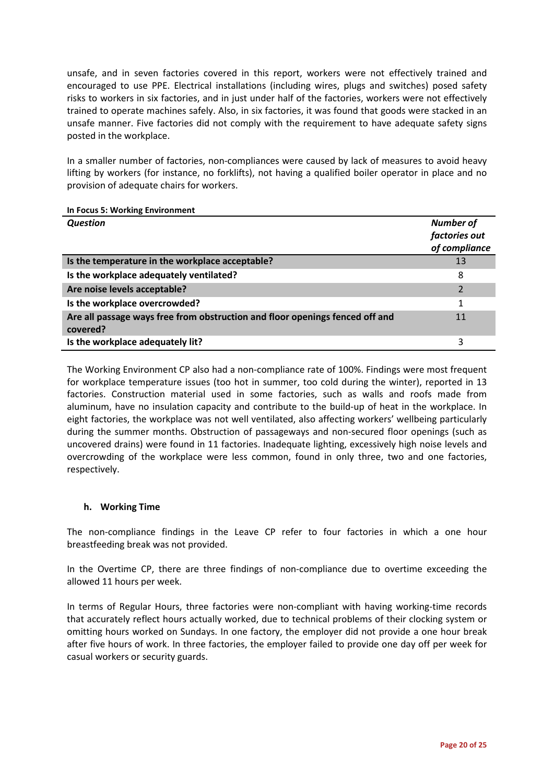unsafe, and in seven factories covered in this report, workers were not effectively trained and encouraged to use PPE. Electrical installations (including wires, plugs and switches) posed safety risks to workers in six factories, and in just under half of the factories, workers were not effectively trained to operate machines safely. Also, in six factories, it was found that goods were stacked in an unsafe manner. Five factories did not comply with the requirement to have adequate safety signs posted in the workplace.

In a smaller number of factories, non-compliances were caused by lack of measures to avoid heavy lifting by workers (for instance, no forklifts), not having a qualified boiler operator in place and no provision of adequate chairs for workers.

#### <span id="page-19-0"></span>**In Focus 5: Working Environment**

| <b>Question</b>                                                                          | <b>Number of</b><br>factories out<br>of compliance |
|------------------------------------------------------------------------------------------|----------------------------------------------------|
| Is the temperature in the workplace acceptable?                                          | 13                                                 |
| Is the workplace adequately ventilated?                                                  | 8                                                  |
| Are noise levels acceptable?                                                             | 2                                                  |
| Is the workplace overcrowded?                                                            |                                                    |
| Are all passage ways free from obstruction and floor openings fenced off and<br>covered? | 11                                                 |
| Is the workplace adequately lit?                                                         | 3                                                  |

The Working Environment CP also had a non-compliance rate of 100%. Findings were most frequent for workplace temperature issues (too hot in summer, too cold during the winter), reported in 13 factories. Construction material used in some factories, such as walls and roofs made from aluminum, have no insulation capacity and contribute to the build-up of heat in the workplace. In eight factories, the workplace was not well ventilated, also affecting workers' wellbeing particularly during the summer months. Obstruction of passageways and non-secured floor openings (such as uncovered drains) were found in 11 factories. Inadequate lighting, excessively high noise levels and overcrowding of the workplace were less common, found in only three, two and one factories, respectively.

### **h. Working Time**

The non-compliance findings in the Leave CP refer to four factories in which a one hour breastfeeding break was not provided.

In the Overtime CP, there are three findings of non-compliance due to overtime exceeding the allowed 11 hours per week.

In terms of Regular Hours, three factories were non-compliant with having working-time records that accurately reflect hours actually worked, due to technical problems of their clocking system or omitting hours worked on Sundays. In one factory, the employer did not provide a one hour break after five hours of work. In three factories, the employer failed to provide one day off per week for casual workers or security guards.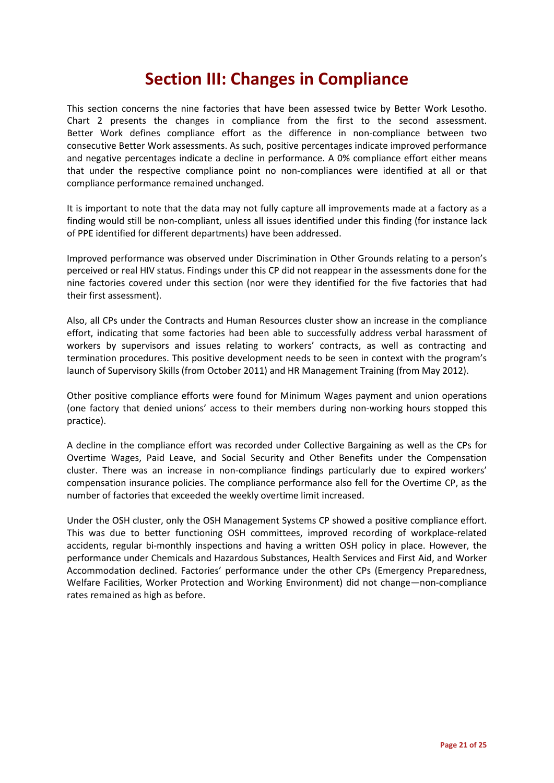# **Section III: Changes in Compliance**

This section concerns the nine factories that have been assessed twice by Better Work Lesotho. Chart 2 presents the changes in compliance from the first to the second assessment. Better Work defines compliance effort as the difference in non-compliance between two consecutive Better Work assessments. As such, positive percentages indicate improved performance and negative percentages indicate a decline in performance. A 0% compliance effort either means that under the respective compliance point no non-compliances were identified at all or that compliance performance remained unchanged.

It is important to note that the data may not fully capture all improvements made at a factory as a finding would still be non-compliant, unless all issues identified under this finding (for instance lack of PPE identified for different departments) have been addressed.

Improved performance was observed under Discrimination in Other Grounds relating to a person's perceived or real HIV status. Findings under this CP did not reappear in the assessments done for the nine factories covered under this section (nor were they identified for the five factories that had their first assessment).

Also, all CPs under the Contracts and Human Resources cluster show an increase in the compliance effort, indicating that some factories had been able to successfully address verbal harassment of workers by supervisors and issues relating to workers' contracts, as well as contracting and termination procedures. This positive development needs to be seen in context with the program's launch of Supervisory Skills (from October 2011) and HR Management Training (from May 2012).

Other positive compliance efforts were found for Minimum Wages payment and union operations (one factory that denied unions' access to their members during non-working hours stopped this practice).

A decline in the compliance effort was recorded under Collective Bargaining as well as the CPs for Overtime Wages, Paid Leave, and Social Security and Other Benefits under the Compensation cluster. There was an increase in non-compliance findings particularly due to expired workers' compensation insurance policies. The compliance performance also fell for the Overtime CP, as the number of factories that exceeded the weekly overtime limit increased.

Under the OSH cluster, only the OSH Management Systems CP showed a positive compliance effort. This was due to better functioning OSH committees, improved recording of workplace-related accidents, regular bi-monthly inspections and having a written OSH policy in place. However, the performance under Chemicals and Hazardous Substances, Health Services and First Aid, and Worker Accommodation declined. Factories' performance under the other CPs (Emergency Preparedness, Welfare Facilities, Worker Protection and Working Environment) did not change—non-compliance rates remained as high as before.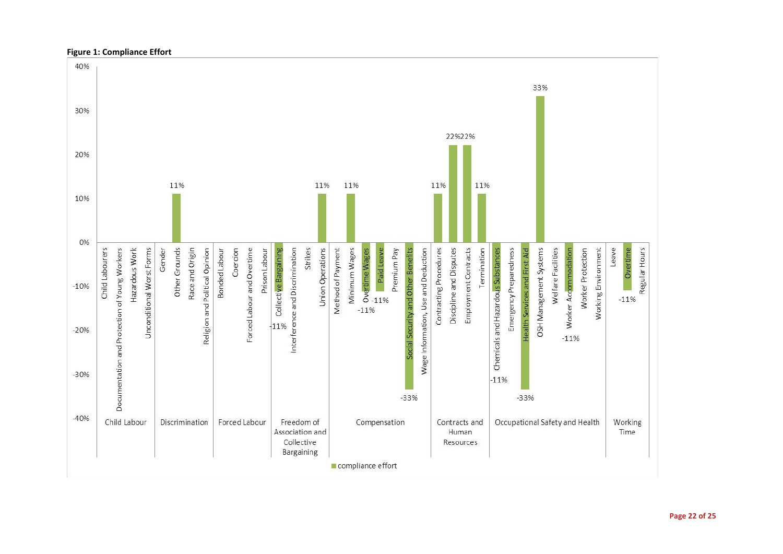

#### **Figure 1: Compliance Effort**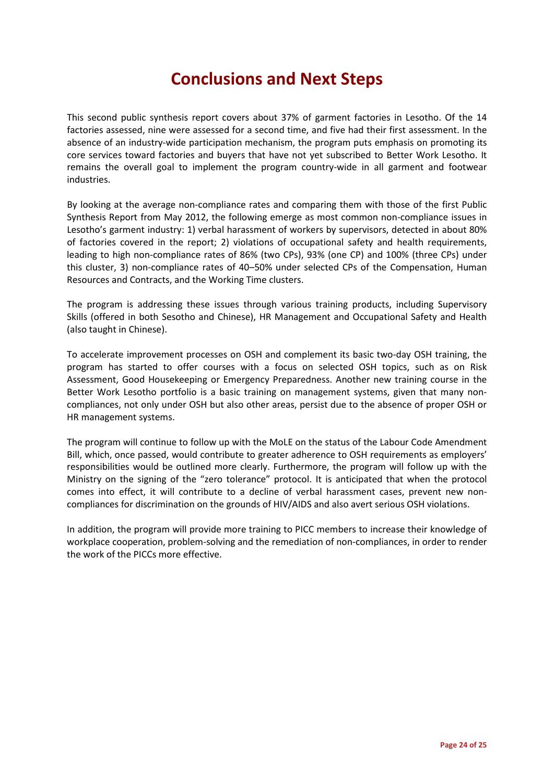# **Conclusions and Next Steps**

This second public synthesis report covers about 37% of garment factories in Lesotho. Of the 14 factories assessed, nine were assessed for a second time, and five had their first assessment. In the absence of an industry-wide participation mechanism, the program puts emphasis on promoting its core services toward factories and buyers that have not yet subscribed to Better Work Lesotho. It remains the overall goal to implement the program country-wide in all garment and footwear industries.

By looking at the average non-compliance rates and comparing them with those of the first Public Synthesis Report from May 2012, the following emerge as most common non-compliance issues in Lesotho's garment industry: 1) verbal harassment of workers by supervisors, detected in about 80% of factories covered in the report; 2) violations of occupational safety and health requirements, leading to high non-compliance rates of 86% (two CPs), 93% (one CP) and 100% (three CPs) under this cluster, 3) non-compliance rates of 40–50% under selected CPs of the Compensation, Human Resources and Contracts, and the Working Time clusters.

The program is addressing these issues through various training products, including Supervisory Skills (offered in both Sesotho and Chinese), HR Management and Occupational Safety and Health (also taught in Chinese).

To accelerate improvement processes on OSH and complement its basic two-day OSH training, the program has started to offer courses with a focus on selected OSH topics, such as on Risk Assessment, Good Housekeeping or Emergency Preparedness. Another new training course in the Better Work Lesotho portfolio is a basic training on management systems, given that many noncompliances, not only under OSH but also other areas, persist due to the absence of proper OSH or HR management systems.

The program will continue to follow up with the MoLE on the status of the Labour Code Amendment Bill, which, once passed, would contribute to greater adherence to OSH requirements as employers' responsibilities would be outlined more clearly. Furthermore, the program will follow up with the Ministry on the signing of the "zero tolerance" protocol. It is anticipated that when the protocol comes into effect, it will contribute to a decline of verbal harassment cases, prevent new noncompliances for discrimination on the grounds of HIV/AIDS and also avert serious OSH violations.

In addition, the program will provide more training to PICC members to increase their knowledge of workplace cooperation, problem-solving and the remediation of non-compliances, in order to render the work of the PICCs more effective.